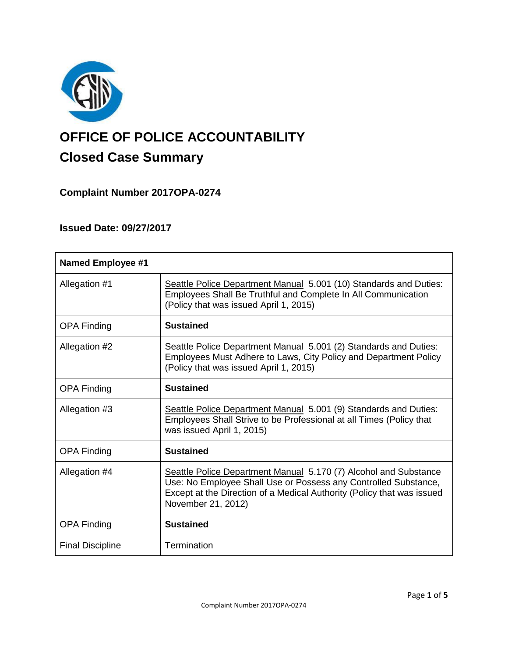

# **OFFICE OF POLICE ACCOUNTABILITY**

# **Closed Case Summary**

## **Complaint Number 2017OPA-0274**

## **Issued Date: 09/27/2017**

| <b>Named Employee #1</b> |                                                                                                                                                                                                                                     |
|--------------------------|-------------------------------------------------------------------------------------------------------------------------------------------------------------------------------------------------------------------------------------|
| Allegation #1            | Seattle Police Department Manual 5.001 (10) Standards and Duties:<br>Employees Shall Be Truthful and Complete In All Communication<br>(Policy that was issued April 1, 2015)                                                        |
| <b>OPA Finding</b>       | <b>Sustained</b>                                                                                                                                                                                                                    |
| Allegation #2            | Seattle Police Department Manual 5.001 (2) Standards and Duties:<br>Employees Must Adhere to Laws, City Policy and Department Policy<br>(Policy that was issued April 1, 2015)                                                      |
| <b>OPA Finding</b>       | <b>Sustained</b>                                                                                                                                                                                                                    |
| Allegation #3            | Seattle Police Department Manual 5.001 (9) Standards and Duties:<br>Employees Shall Strive to be Professional at all Times (Policy that<br>was issued April 1, 2015)                                                                |
| <b>OPA Finding</b>       | <b>Sustained</b>                                                                                                                                                                                                                    |
| Allegation #4            | Seattle Police Department Manual 5.170 (7) Alcohol and Substance<br>Use: No Employee Shall Use or Possess any Controlled Substance,<br>Except at the Direction of a Medical Authority (Policy that was issued<br>November 21, 2012) |
| <b>OPA Finding</b>       | <b>Sustained</b>                                                                                                                                                                                                                    |
| <b>Final Discipline</b>  | Termination                                                                                                                                                                                                                         |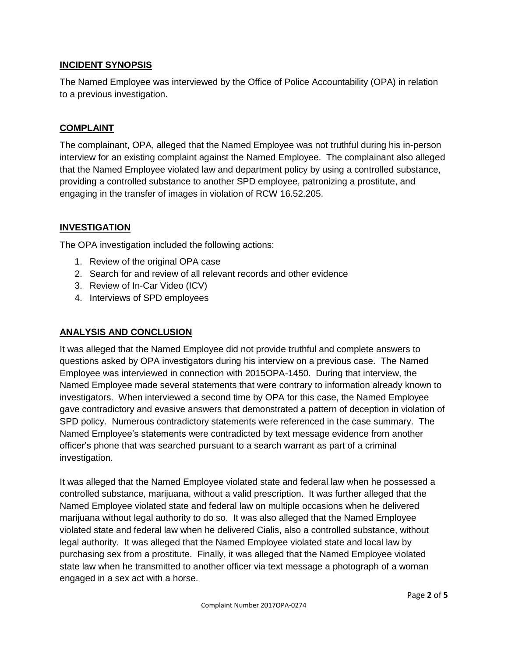#### **INCIDENT SYNOPSIS**

The Named Employee was interviewed by the Office of Police Accountability (OPA) in relation to a previous investigation.

#### **COMPLAINT**

The complainant, OPA, alleged that the Named Employee was not truthful during his in-person interview for an existing complaint against the Named Employee. The complainant also alleged that the Named Employee violated law and department policy by using a controlled substance, providing a controlled substance to another SPD employee, patronizing a prostitute, and engaging in the transfer of images in violation of RCW 16.52.205.

#### **INVESTIGATION**

The OPA investigation included the following actions:

- 1. Review of the original OPA case
- 2. Search for and review of all relevant records and other evidence
- 3. Review of In-Car Video (ICV)
- 4. Interviews of SPD employees

#### **ANALYSIS AND CONCLUSION**

It was alleged that the Named Employee did not provide truthful and complete answers to questions asked by OPA investigators during his interview on a previous case. The Named Employee was interviewed in connection with 2015OPA-1450. During that interview, the Named Employee made several statements that were contrary to information already known to investigators. When interviewed a second time by OPA for this case, the Named Employee gave contradictory and evasive answers that demonstrated a pattern of deception in violation of SPD policy. Numerous contradictory statements were referenced in the case summary. The Named Employee's statements were contradicted by text message evidence from another officer's phone that was searched pursuant to a search warrant as part of a criminal investigation.

It was alleged that the Named Employee violated state and federal law when he possessed a controlled substance, marijuana, without a valid prescription. It was further alleged that the Named Employee violated state and federal law on multiple occasions when he delivered marijuana without legal authority to do so. It was also alleged that the Named Employee violated state and federal law when he delivered Cialis, also a controlled substance, without legal authority. It was alleged that the Named Employee violated state and local law by purchasing sex from a prostitute. Finally, it was alleged that the Named Employee violated state law when he transmitted to another officer via text message a photograph of a woman engaged in a sex act with a horse.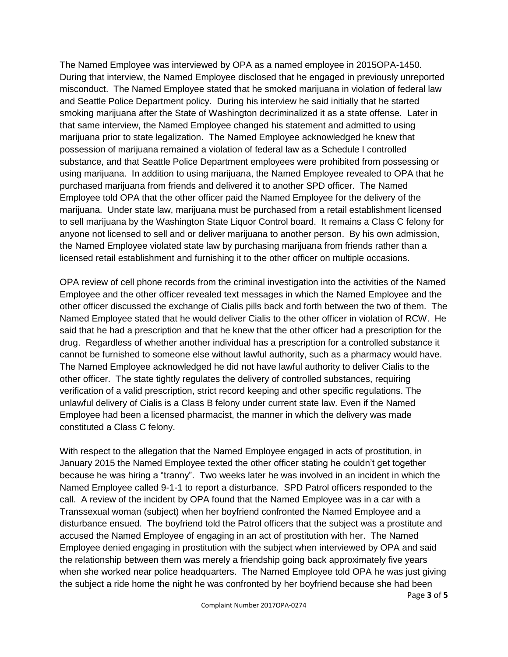The Named Employee was interviewed by OPA as a named employee in 2015OPA-1450. During that interview, the Named Employee disclosed that he engaged in previously unreported misconduct. The Named Employee stated that he smoked marijuana in violation of federal law and Seattle Police Department policy. During his interview he said initially that he started smoking marijuana after the State of Washington decriminalized it as a state offense. Later in that same interview, the Named Employee changed his statement and admitted to using marijuana prior to state legalization. The Named Employee acknowledged he knew that possession of marijuana remained a violation of federal law as a Schedule I controlled substance, and that Seattle Police Department employees were prohibited from possessing or using marijuana. In addition to using marijuana, the Named Employee revealed to OPA that he purchased marijuana from friends and delivered it to another SPD officer. The Named Employee told OPA that the other officer paid the Named Employee for the delivery of the marijuana. Under state law, marijuana must be purchased from a retail establishment licensed to sell marijuana by the Washington State Liquor Control board. It remains a Class C felony for anyone not licensed to sell and or deliver marijuana to another person. By his own admission, the Named Employee violated state law by purchasing marijuana from friends rather than a licensed retail establishment and furnishing it to the other officer on multiple occasions.

OPA review of cell phone records from the criminal investigation into the activities of the Named Employee and the other officer revealed text messages in which the Named Employee and the other officer discussed the exchange of Cialis pills back and forth between the two of them. The Named Employee stated that he would deliver Cialis to the other officer in violation of RCW. He said that he had a prescription and that he knew that the other officer had a prescription for the drug. Regardless of whether another individual has a prescription for a controlled substance it cannot be furnished to someone else without lawful authority, such as a pharmacy would have. The Named Employee acknowledged he did not have lawful authority to deliver Cialis to the other officer. The state tightly regulates the delivery of controlled substances, requiring verification of a valid prescription, strict record keeping and other specific regulations. The unlawful delivery of Cialis is a Class B felony under current state law. Even if the Named Employee had been a licensed pharmacist, the manner in which the delivery was made constituted a Class C felony.

With respect to the allegation that the Named Employee engaged in acts of prostitution, in January 2015 the Named Employee texted the other officer stating he couldn't get together because he was hiring a "tranny". Two weeks later he was involved in an incident in which the Named Employee called 9-1-1 to report a disturbance. SPD Patrol officers responded to the call. A review of the incident by OPA found that the Named Employee was in a car with a Transsexual woman (subject) when her boyfriend confronted the Named Employee and a disturbance ensued. The boyfriend told the Patrol officers that the subject was a prostitute and accused the Named Employee of engaging in an act of prostitution with her. The Named Employee denied engaging in prostitution with the subject when interviewed by OPA and said the relationship between them was merely a friendship going back approximately five years when she worked near police headquarters. The Named Employee told OPA he was just giving the subject a ride home the night he was confronted by her boyfriend because she had been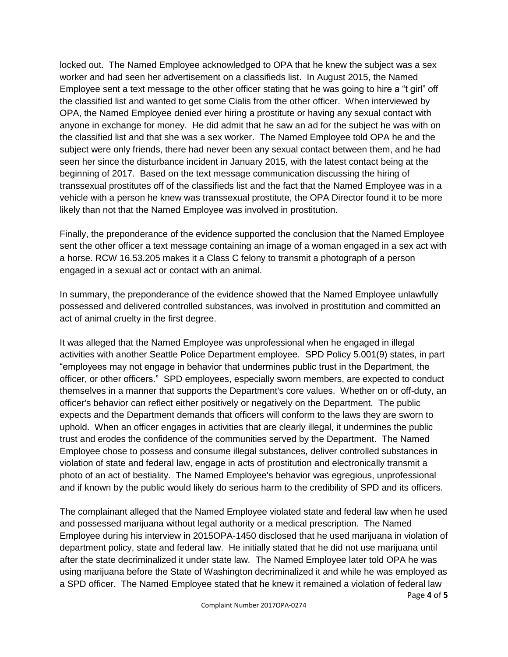locked out. The Named Employee acknowledged to OPA that he knew the subject was a sex worker and had seen her advertisement on a classifieds list. In August 2015, the Named Employee sent a text message to the other officer stating that he was going to hire a "t girl" off the classified list and wanted to get some Cialis from the other officer. When interviewed by OPA, the Named Employee denied ever hiring a prostitute or having any sexual contact with anyone in exchange for money. He did admit that he saw an ad for the subject he was with on the classified list and that she was a sex worker. The Named Employee told OPA he and the subject were only friends, there had never been any sexual contact between them, and he had seen her since the disturbance incident in January 2015, with the latest contact being at the beginning of 2017. Based on the text message communication discussing the hiring of transsexual prostitutes off of the classifieds list and the fact that the Named Employee was in a vehicle with a person he knew was transsexual prostitute, the OPA Director found it to be more likely than not that the Named Employee was involved in prostitution.

Finally, the preponderance of the evidence supported the conclusion that the Named Employee sent the other officer a text message containing an image of a woman engaged in a sex act with a horse. RCW 16.53.205 makes it a Class C felony to transmit a photograph of a person engaged in a sexual act or contact with an animal.

In summary, the preponderance of the evidence showed that the Named Employee unlawfully possessed and delivered controlled substances, was involved in prostitution and committed an act of animal cruelty in the first degree.

It was alleged that the Named Employee was unprofessional when he engaged in illegal activities with another Seattle Police Department employee. SPD Policy 5.001(9) states, in part "employees may not engage in behavior that undermines public trust in the Department, the officer, or other officers." SPD employees, especially sworn members, are expected to conduct themselves in a manner that supports the Department's core values. Whether on or off-duty, an officer's behavior can reflect either positively or negatively on the Department. The public expects and the Department demands that officers will conform to the laws they are sworn to uphold. When an officer engages in activities that are clearly illegal, it undermines the public trust and erodes the confidence of the communities served by the Department. The Named Employee chose to possess and consume illegal substances, deliver controlled substances in violation of state and federal law, engage in acts of prostitution and electronically transmit a photo of an act of bestiality. The Named Employee's behavior was egregious, unprofessional and if known by the public would likely do serious harm to the credibility of SPD and its officers.

Page **4** of **5** The complainant alleged that the Named Employee violated state and federal law when he used and possessed marijuana without legal authority or a medical prescription. The Named Employee during his interview in 2015OPA-1450 disclosed that he used marijuana in violation of department policy, state and federal law. He initially stated that he did not use marijuana until after the state decriminalized it under state law. The Named Employee later told OPA he was using marijuana before the State of Washington decriminalized it and while he was employed as a SPD officer. The Named Employee stated that he knew it remained a violation of federal law